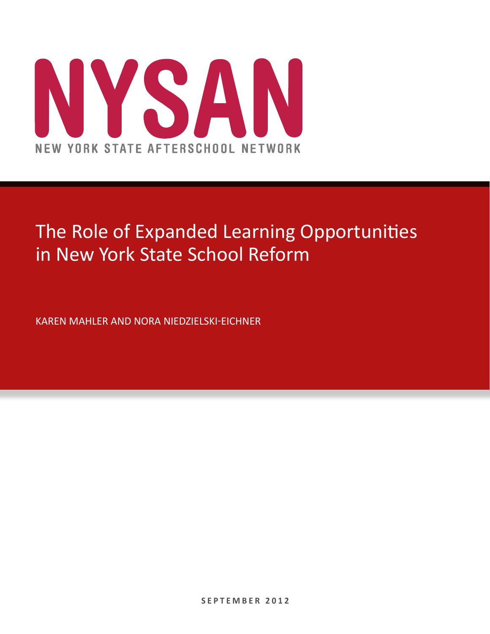

# The Role of Expanded Learning Opportunities in New York State School Reform

KAREN MAHLER AND NORA NIEDZIELSKI-EICHNER

**S E P T E M B E R 2 0 1 2**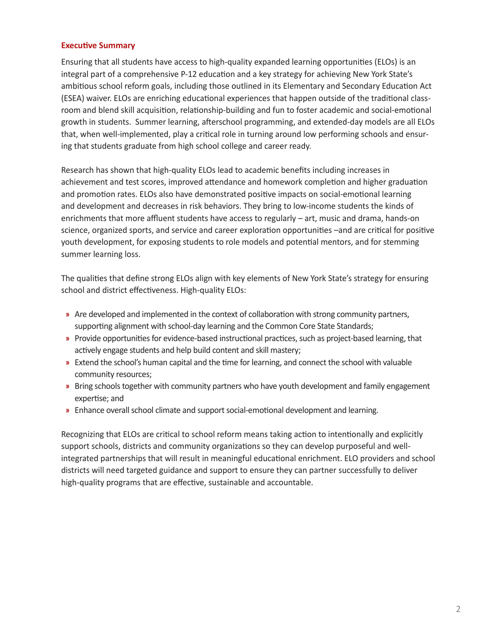## **Executive Summary**

Ensuring that all students have access to high-quality expanded learning opportunities (ELOs) is an integral part of a comprehensive P-12 education and a key strategy for achieving New York State's ambitious school reform goals, including those outlined in its Elementary and Secondary Education Act (ESEA) waiver. ELOs are enriching educational experiences that happen outside of the traditional classroom and blend skill acquisition, relationship-building and fun to foster academic and social-emotional growth in students. Summer learning, afterschool programming, and extended-day models are all ELOs that, when well-implemented, play a critical role in turning around low performing schools and ensuring that students graduate from high school college and career ready.

Research has shown that high-quality ELOs lead to academic benefits including increases in achievement and test scores, improved attendance and homework completion and higher graduation and promotion rates. ELOs also have demonstrated positive impacts on social-emotional learning and development and decreases in risk behaviors. They bring to low-income students the kinds of enrichments that more affluent students have access to regularly – art, music and drama, hands-on science, organized sports, and service and career exploration opportunities –and are critical for positive youth development, for exposing students to role models and potential mentors, and for stemming summer learning loss.

The qualities that define strong ELOs align with key elements of New York State's strategy for ensuring school and district effectiveness. High-quality ELOs:

- **»** Are developed and implemented in the context of collaboration with strong community partners, supporting alignment with school-day learning and the Common Core State Standards;
- **»** Provide opportunities for evidence-based instructional practices, such as project-based learning, that actively engage students and help build content and skill mastery;
- **»** Extend the school's human capital and the time for learning, and connect the school with valuable community resources;
- **»** Bring schools together with community partners who have youth development and family engagement expertise; and
- **»** Enhance overall school climate and support social-emotional development and learning.

Recognizing that ELOs are critical to school reform means taking action to intentionally and explicitly support schools, districts and community organizations so they can develop purposeful and wellintegrated partnerships that will result in meaningful educational enrichment. ELO providers and school districts will need targeted guidance and support to ensure they can partner successfully to deliver high-quality programs that are effective, sustainable and accountable.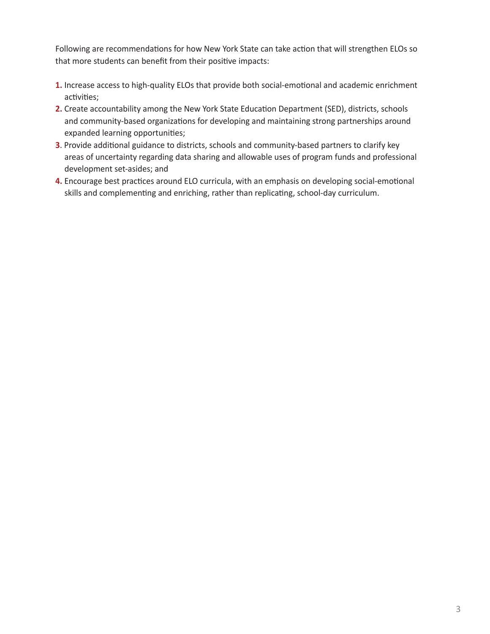Following are recommendations for how New York State can take action that will strengthen ELOs so that more students can benefit from their positive impacts:

- **1.** Increase access to high-quality ELOs that provide both social-emotional and academic enrichment activities;
- **2.** Create accountability among the New York State Education Department (SED), districts, schools and community-based organizations for developing and maintaining strong partnerships around expanded learning opportunities;
- **3**. Provide additional guidance to districts, schools and community-based partners to clarify key areas of uncertainty regarding data sharing and allowable uses of program funds and professional development set-asides; and
- **4.** Encourage best practices around ELO curricula, with an emphasis on developing social-emotional skills and complementing and enriching, rather than replicating, school-day curriculum.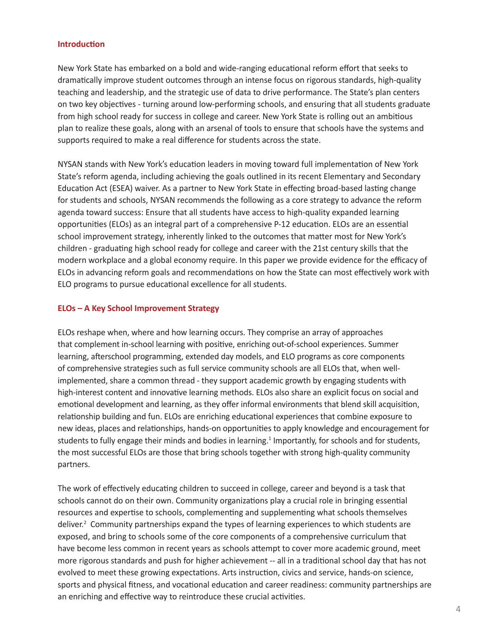#### **Introduction**

New York State has embarked on a bold and wide-ranging educational reform effort that seeks to dramatically improve student outcomes through an intense focus on rigorous standards, high-quality teaching and leadership, and the strategic use of data to drive performance. The State's plan centers on two key objectives - turning around low-performing schools, and ensuring that all students graduate from high school ready for success in college and career. New York State is rolling out an ambitious plan to realize these goals, along with an arsenal of tools to ensure that schools have the systems and supports required to make a real difference for students across the state.

NYSAN stands with New York's education leaders in moving toward full implementation of New York State's reform agenda, including achieving the goals outlined in its recent Elementary and Secondary Education Act (ESEA) waiver. As a partner to New York State in effecting broad-based lasting change for students and schools, NYSAN recommends the following as a core strategy to advance the reform agenda toward success: Ensure that all students have access to high-quality expanded learning opportunities (ELOs) as an integral part of a comprehensive P-12 education. ELOs are an essential school improvement strategy, inherently linked to the outcomes that matter most for New York's children - graduating high school ready for college and career with the 21st century skills that the modern workplace and a global economy require. In this paper we provide evidence for the efficacy of ELOs in advancing reform goals and recommendations on how the State can most effectively work with ELO programs to pursue educational excellence for all students.

#### **ELOs – A Key School Improvement Strategy**

ELOs reshape when, where and how learning occurs. They comprise an array of approaches that complement in-school learning with positive, enriching out-of-school experiences. Summer learning, afterschool programming, extended day models, and ELO programs as core components of comprehensive strategies such as full service community schools are all ELOs that, when wellimplemented, share a common thread - they support academic growth by engaging students with high-interest content and innovative learning methods. ELOs also share an explicit focus on social and emotional development and learning, as they offer informal environments that blend skill acquisition, relationship building and fun. ELOs are enriching educational experiences that combine exposure to new ideas, places and relationships, hands-on opportunities to apply knowledge and encouragement for students to fully engage their minds and bodies in learning.<sup>1</sup> Importantly, for schools and for students, the most successful ELOs are those that bring schools together with strong high-quality community partners.

The work of effectively educating children to succeed in college, career and beyond is a task that schools cannot do on their own. Community organizations play a crucial role in bringing essential resources and expertise to schools, complementing and supplementing what schools themselves deliver.<sup>2</sup> Community partnerships expand the types of learning experiences to which students are exposed, and bring to schools some of the core components of a comprehensive curriculum that have become less common in recent years as schools attempt to cover more academic ground, meet more rigorous standards and push for higher achievement -- all in a traditional school day that has not evolved to meet these growing expectations. Arts instruction, civics and service, hands-on science, sports and physical fitness, and vocational education and career readiness: community partnerships are an enriching and effective way to reintroduce these crucial activities.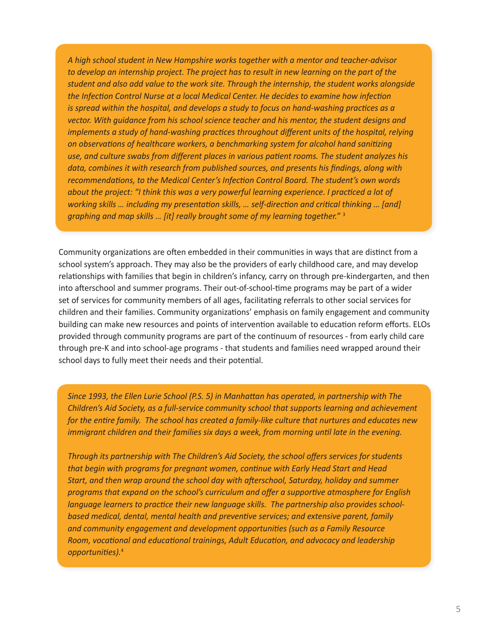*A high school student in New Hampshire works together with a mentor and teacher-advisor to develop an internship project. The project has to result in new learning on the part of the student and also add value to the work site. Through the internship, the student works alongside the Infection Control Nurse at a local Medical Center. He decides to examine how infection is spread within the hospital, and develops a study to focus on hand-washing practices as a vector. With guidance from his school science teacher and his mentor, the student designs and implements a study of hand-washing practices throughout different units of the hospital, relying on observations of healthcare workers, a benchmarking system for alcohol hand sanitizing use, and culture swabs from different places in various patient rooms. The student analyzes his data, combines it with research from published sources, and presents his findings, along with recommendations, to the Medical Center's Infection Control Board. The student's own words about the project: "I think this was a very powerful learning experience. I practiced a lot of working skills … including my presentation skills, … self-direction and critical thinking … [and] graphing and map skills … [it] really brought some of my learning together."* <sup>3</sup>

Community organizations are often embedded in their communities in ways that are distinct from a school system's approach. They may also be the providers of early childhood care, and may develop relationships with families that begin in children's infancy, carry on through pre-kindergarten, and then into afterschool and summer programs. Their out-of-school-time programs may be part of a wider set of services for community members of all ages, facilitating referrals to other social services for children and their families. Community organizations' emphasis on family engagement and community building can make new resources and points of intervention available to education reform efforts. ELOs provided through community programs are part of the continuum of resources - from early child care through pre-K and into school-age programs - that students and families need wrapped around their school days to fully meet their needs and their potential.

*Since 1993, the Ellen Lurie School (P.S. 5) in Manhattan has operated, in partnership with The Children's Aid Society, as a full-service community school that supports learning and achievement for the entire family. The school has created a family-like culture that nurtures and educates new immigrant children and their families six days a week, from morning until late in the evening.*

*Through its partnership with The Children's Aid Society, the school offers services for students that begin with programs for pregnant women, continue with Early Head Start and Head Start, and then wrap around the school day with afterschool, Saturday, holiday and summer programs that expand on the school's curriculum and offer a supportive atmosphere for English language learners to practice their new language skills. The partnership also provides schoolbased medical, dental, mental health and preventive services; and extensive parent, family and community engagement and development opportunities (such as a Family Resource Room, vocational and educational trainings, Adult Education, and advocacy and leadership opportunities).*<sup>4</sup>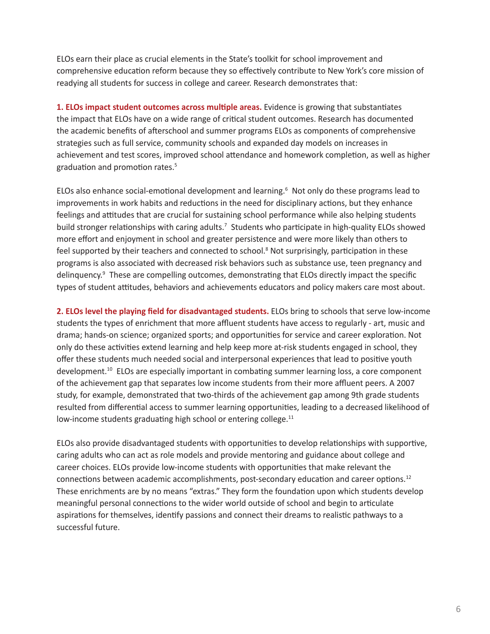ELOs earn their place as crucial elements in the State's toolkit for school improvement and comprehensive education reform because they so effectively contribute to New York's core mission of readying all students for success in college and career. Research demonstrates that:

**1. ELOs impact student outcomes across multiple areas.** Evidence is growing that substantiates the impact that ELOs have on a wide range of critical student outcomes. Research has documented the academic benefits of afterschool and summer programs ELOs as components of comprehensive strategies such as full service, community schools and expanded day models on increases in achievement and test scores, improved school attendance and homework completion, as well as higher graduation and promotion rates.<sup>5</sup>

ELOs also enhance social-emotional development and learning.<sup>6</sup> Not only do these programs lead to improvements in work habits and reductions in the need for disciplinary actions, but they enhance feelings and attitudes that are crucial for sustaining school performance while also helping students build stronger relationships with caring adults.<sup>7</sup> Students who participate in high-quality ELOs showed more effort and enjoyment in school and greater persistence and were more likely than others to feel supported by their teachers and connected to school.<sup>8</sup> Not surprisingly, participation in these programs is also associated with decreased risk behaviors such as substance use, teen pregnancy and delinquency.<sup>9</sup> These are compelling outcomes, demonstrating that ELOs directly impact the specific types of student attitudes, behaviors and achievements educators and policy makers care most about.

**2. ELOs level the playing field for disadvantaged students.** ELOs bring to schools that serve low-income students the types of enrichment that more affluent students have access to regularly - art, music and drama; hands-on science; organized sports; and opportunities for service and career exploration. Not only do these activities extend learning and help keep more at-risk students engaged in school, they offer these students much needed social and interpersonal experiences that lead to positive youth development.10 ELOs are especially important in combating summer learning loss, a core component of the achievement gap that separates low income students from their more affluent peers. A 2007 study, for example, demonstrated that two-thirds of the achievement gap among 9th grade students resulted from differential access to summer learning opportunities, leading to a decreased likelihood of low-income students graduating high school or entering college.<sup>11</sup>

ELOs also provide disadvantaged students with opportunities to develop relationships with supportive, caring adults who can act as role models and provide mentoring and guidance about college and career choices. ELOs provide low-income students with opportunities that make relevant the connections between academic accomplishments, post-secondary education and career options.12 These enrichments are by no means "extras." They form the foundation upon which students develop meaningful personal connections to the wider world outside of school and begin to articulate aspirations for themselves, identify passions and connect their dreams to realistic pathways to a successful future.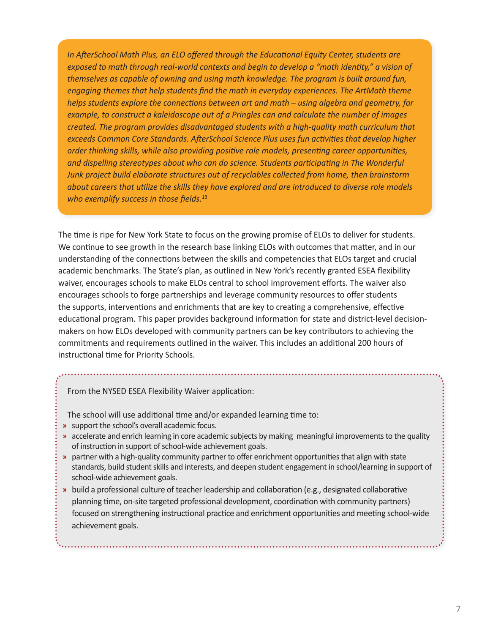*In AfterSchool Math Plus, an ELO offered through the Educational Equity Center, students are exposed to math through real-world contexts and begin to develop a "math identity," a vision of themselves as capable of owning and using math knowledge. The program is built around fun, engaging themes that help students find the math in everyday experiences. The ArtMath theme helps students explore the connections between art and math – using algebra and geometry, for example, to construct a kaleidoscope out of a Pringles can and calculate the number of images created. The program provides disadvantaged students with a high-quality math curriculum that exceeds Common Core Standards. AfterSchool Science Plus uses fun activities that develop higher order thinking skills, while also providing positive role models, presenting career opportunities, and dispelling stereotypes about who can do science. Students participating in The Wonderful Junk project build elaborate structures out of recyclables collected from home, then brainstorm about careers that utilize the skills they have explored and are introduced to diverse role models who exemplify success in those fields.*<sup>13</sup>

The time is ripe for New York State to focus on the growing promise of ELOs to deliver for students. We continue to see growth in the research base linking ELOs with outcomes that matter, and in our understanding of the connections between the skills and competencies that ELOs target and crucial academic benchmarks. The State's plan, as outlined in New York's recently granted ESEA flexibility waiver, encourages schools to make ELOs central to school improvement efforts. The waiver also encourages schools to forge partnerships and leverage community resources to offer students the supports, interventions and enrichments that are key to creating a comprehensive, effective educational program. This paper provides background information for state and district-level decisionmakers on how ELOs developed with community partners can be key contributors to achieving the commitments and requirements outlined in the waiver. This includes an additional 200 hours of instructional time for Priority Schools.

From the NYSED ESEA Flexibility Waiver application:

The school will use additional time and/or expanded learning time to:

- **»** support the school's overall academic focus.
- **»** accelerate and enrich learning in core academic subjects by making meaningful improvements to the quality of instruction in support of school-wide achievement goals.
- **»** partner with a high-quality community partner to offer enrichment opportunities that align with state standards, build student skills and interests, and deepen student engagement in school/learning in support of school-wide achievement goals.
- **»** build a professional culture of teacher leadership and collaboration (e.g., designated collaborative planning time, on-site targeted professional development, coordination with community partners) focused on strengthening instructional practice and enrichment opportunities and meeting school-wide achievement goals.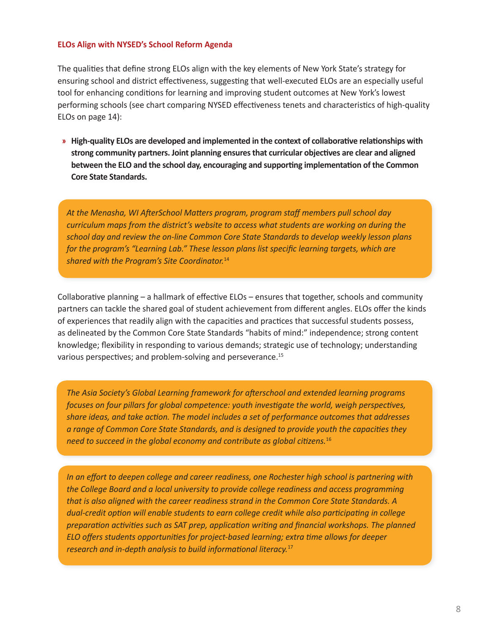#### **ELOs Align with NYSED's School Reform Agenda**

The qualities that define strong ELOs align with the key elements of New York State's strategy for ensuring school and district effectiveness, suggesting that well-executed ELOs are an especially useful tool for enhancing conditions for learning and improving student outcomes at New York's lowest performing schools (see chart comparing NYSED effectiveness tenets and characteristics of high-quality ELOs on page 14):

**» High-quality ELOs are developed and implemented in the context of collaborative relationships with strong community partners. Joint planning ensures that curricular objectives are clear and aligned between the ELO and the school day, encouraging and supporting implementation of the Common Core State Standards.** 

*At the Menasha, WI AfterSchool Matters program, program staff members pull school day curriculum maps from the district's website to access what students are working on during the school day and review the on-line Common Core State Standards to develop weekly lesson plans for the program's "Learning Lab." These lesson plans list specific learning targets, which are shared with the Program's Site Coordinator.*<sup>14</sup>

Collaborative planning – a hallmark of effective ELOs – ensures that together, schools and community partners can tackle the shared goal of student achievement from different angles. ELOs offer the kinds of experiences that readily align with the capacities and practices that successful students possess, as delineated by the Common Core State Standards "habits of mind:" independence; strong content knowledge; flexibility in responding to various demands; strategic use of technology; understanding various perspectives; and problem-solving and perseverance.<sup>15</sup>

*The Asia Society's Global Learning framework for afterschool and extended learning programs focuses on four pillars for global competence: youth investigate the world, weigh perspectives, share ideas, and take action. The model includes a set of performance outcomes that addresses a range of Common Core State Standards, and is designed to provide youth the capacities they need to succeed in the global economy and contribute as global citizens.*<sup>16</sup>

*In an effort to deepen college and career readiness, one Rochester high school is partnering with the College Board and a local university to provide college readiness and access programming that is also aligned with the career readiness strand in the Common Core State Standards. A dual-credit option will enable students to earn college credit while also participating in college preparation activities such as SAT prep, application writing and financial workshops. The planned ELO offers students opportunities for project-based learning; extra time allows for deeper research and in-depth analysis to build informational literacy.*17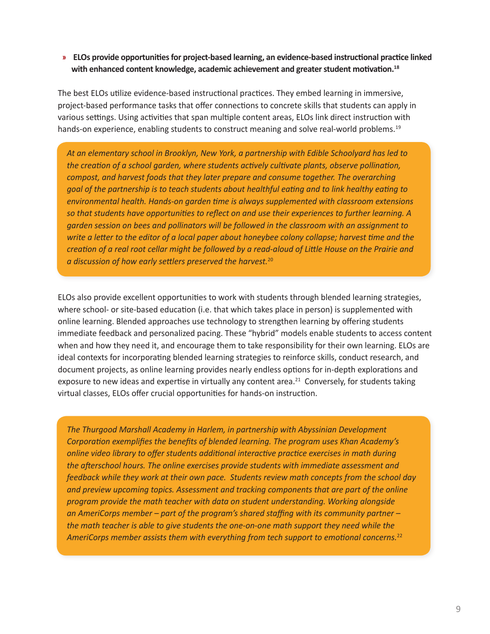**» ELOs provide opportunities for project-based learning, an evidence-based instructional practice linked with enhanced content knowledge, academic achievement and greater student motivation.18**

The best ELOs utilize evidence-based instructional practices. They embed learning in immersive, project-based performance tasks that offer connections to concrete skills that students can apply in various settings. Using activities that span multiple content areas, ELOs link direct instruction with hands-on experience, enabling students to construct meaning and solve real-world problems.<sup>19</sup>

*At an elementary school in Brooklyn, New York, a partnership with Edible Schoolyard has led to the creation of a school garden, where students actively cultivate plants, observe pollination, compost, and harvest foods that they later prepare and consume together. The overarching goal of the partnership is to teach students about healthful eating and to link healthy eating to environmental health. Hands-on garden time is always supplemented with classroom extensions so that students have opportunities to reflect on and use their experiences to further learning. A garden session on bees and pollinators will be followed in the classroom with an assignment to write a letter to the editor of a local paper about honeybee colony collapse; harvest time and the creation of a real root cellar might be followed by a read-aloud of Little House on the Prairie and a discussion of how early settlers preserved the harvest.*<sup>20</sup>

ELOs also provide excellent opportunities to work with students through blended learning strategies, where school- or site-based education (i.e. that which takes place in person) is supplemented with online learning. Blended approaches use technology to strengthen learning by offering students immediate feedback and personalized pacing. These "hybrid" models enable students to access content when and how they need it, and encourage them to take responsibility for their own learning. ELOs are ideal contexts for incorporating blended learning strategies to reinforce skills, conduct research, and document projects, as online learning provides nearly endless options for in-depth explorations and exposure to new ideas and expertise in virtually any content area.<sup>21</sup> Conversely, for students taking virtual classes, ELOs offer crucial opportunities for hands-on instruction.

*The Thurgood Marshall Academy in Harlem, in partnership with Abyssinian Development Corporation exemplifies the benefits of blended learning. The program uses Khan Academy's online video library to offer students additional interactive practice exercises in math during the afterschool hours. The online exercises provide students with immediate assessment and feedback while they work at their own pace. Students review math concepts from the school day and preview upcoming topics. Assessment and tracking components that are part of the online program provide the math teacher with data on student understanding. Working alongside an AmeriCorps member – part of the program's shared staffing with its community partner – the math teacher is able to give students the one-on-one math support they need while the AmeriCorps member assists them with everything from tech support to emotional concerns.*22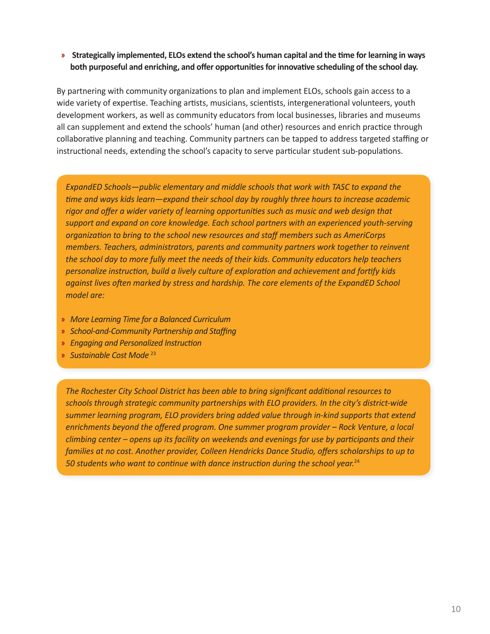## **» Strategically implemented, ELOs extend the school's human capital and the time for learning in ways both purposeful and enriching, and offer opportunities for innovative scheduling of the school day.**

By partnering with community organizations to plan and implement ELOs, schools gain access to a wide variety of expertise. Teaching artists, musicians, scientists, intergenerational volunteers, youth development workers, as well as community educators from local businesses, libraries and museums all can supplement and extend the schools' human (and other) resources and enrich practice through collaborative planning and teaching. Community partners can be tapped to address targeted staffing or instructional needs, extending the school's capacity to serve particular student sub-populations.

*ExpandED Schools—public elementary and middle schools that work with TASC to expand the time and ways kids learn—expand their school day by roughly three hours to increase academic rigor and offer a wider variety of learning opportunities such as music and web design that support and expand on core knowledge. Each school partners with an experienced youth-serving organization to bring to the school new resources and staff members such as AmeriCorps members. Teachers, administrators, parents and community partners work together to reinvent the school day to more fully meet the needs of their kids. Community educators help teachers personalize instruction, build a lively culture of exploration and achievement and fortify kids against lives often marked by stress and hardship. The core elements of the ExpandED School model are:* 

- **»** *More Learning Time for a Balanced Curriculum*
- **»** *School-and-Community Partnership and Staffing*
- **»** *Engaging and Personalized Instruction*
- **»** *Sustainable Cost Mode* <sup>23</sup>

*The Rochester City School District has been able to bring significant additional resources to schools through strategic community partnerships with ELO providers. In the city's district-wide summer learning program, ELO providers bring added value through in-kind supports that extend enrichments beyond the offered program. One summer program provider – Rock Venture, a local climbing center – opens up its facility on weekends and evenings for use by participants and their families at no cost. Another provider, Colleen Hendricks Dance Studio, offers scholarships to up to 50 students who want to continue with dance instruction during the school year.*24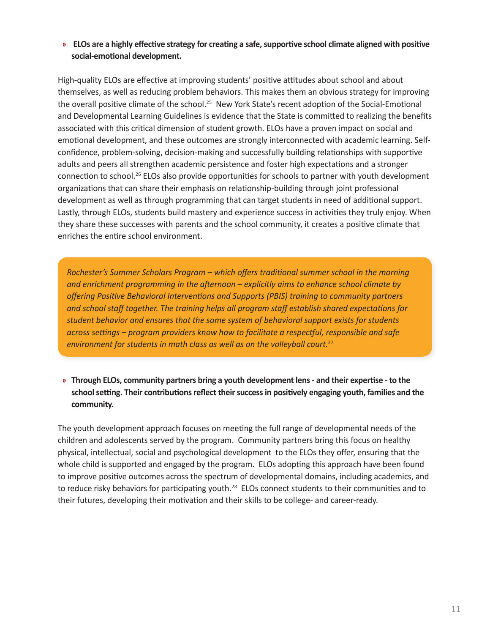## **» ELOs are a highly effective strategy for creating a safe, supportive school climate aligned with positive social-emotional development.**

High-quality ELOs are effective at improving students' positive attitudes about school and about themselves, as well as reducing problem behaviors. This makes them an obvious strategy for improving the overall positive climate of the school.<sup>25</sup> New York State's recent adoption of the Social-Emotional and Developmental Learning Guidelines is evidence that the State is committed to realizing the benefits associated with this critical dimension of student growth. ELOs have a proven impact on social and emotional development, and these outcomes are strongly interconnected with academic learning. Selfconfidence, problem-solving, decision-making and successfully building relationships with supportive adults and peers all strengthen academic persistence and foster high expectations and a stronger connection to school.26 ELOs also provide opportunities for schools to partner with youth development organizations that can share their emphasis on relationship-building through joint professional development as well as through programming that can target students in need of additional support. Lastly, through ELOs, students build mastery and experience success in activities they truly enjoy. When they share these successes with parents and the school community, it creates a positive climate that enriches the entire school environment.

*Rochester's Summer Scholars Program – which offers traditional summer school in the morning and enrichment programming in the afternoon – explicitly aims to enhance school climate by offering Positive Behavioral Interventions and Supports (PBIS) training to community partners and school staff together. The training helps all program staff establish shared expectations for student behavior and ensures that the same system of behavioral support exists for students across settings – program providers know how to facilitate a respectful, responsible and safe environment for students in math class as well as on the volleyball court.*<sup>27</sup>

**» Through ELOs, community partners bring a youth development lens - and their expertise - to the school setting. Their contributions reflect their success in positively engaging youth, families and the community.** 

The youth development approach focuses on meeting the full range of developmental needs of the children and adolescents served by the program. Community partners bring this focus on healthy physical, intellectual, social and psychological development to the ELOs they offer, ensuring that the whole child is supported and engaged by the program. ELOs adopting this approach have been found to improve positive outcomes across the spectrum of developmental domains, including academics, and to reduce risky behaviors for participating youth.<sup>28</sup> ELOs connect students to their communities and to their futures, developing their motivation and their skills to be college- and career-ready.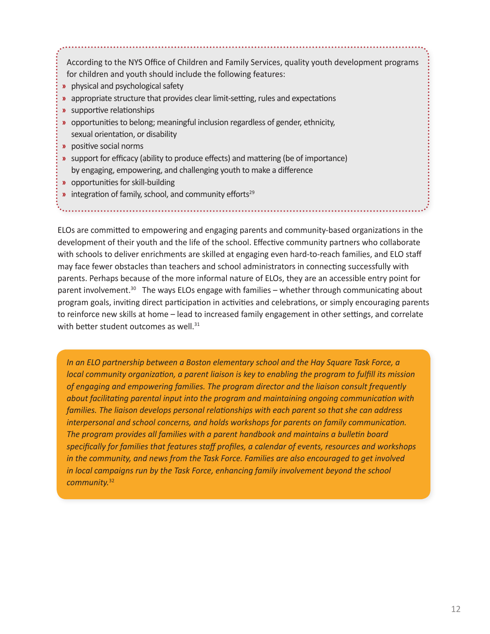According to the NYS Office of Children and Family Services, quality youth development programs for children and youth should include the following features:

- **»** physical and psychological safety
- **»** appropriate structure that provides clear limit-setting, rules and expectations
- **»** supportive relationships
- **»** opportunities to belong; meaningful inclusion regardless of gender, ethnicity, sexual orientation, or disability
- **»** positive social norms
- **»** support for efficacy (ability to produce effects) and mattering (be of importance) by engaging, empowering, and challenging youth to make a difference
- **»** opportunities for skill-building
- **»** integration of family, school, and community efforts<sup>29</sup>

ELOs are committed to empowering and engaging parents and community-based organizations in the development of their youth and the life of the school. Effective community partners who collaborate with schools to deliver enrichments are skilled at engaging even hard-to-reach families, and ELO staff may face fewer obstacles than teachers and school administrators in connecting successfully with parents. Perhaps because of the more informal nature of ELOs, they are an accessible entry point for parent involvement.<sup>30</sup> The ways ELOs engage with families – whether through communicating about program goals, inviting direct participation in activities and celebrations, or simply encouraging parents to reinforce new skills at home – lead to increased family engagement in other settings, and correlate with better student outcomes as well.<sup>31</sup>

*In an ELO partnership between a Boston elementary school and the Hay Square Task Force, a local community organization, a parent liaison is key to enabling the program to fulfill its mission of engaging and empowering families. The program director and the liaison consult frequently about facilitating parental input into the program and maintaining ongoing communication with families. The liaison develops personal relationships with each parent so that she can address interpersonal and school concerns, and holds workshops for parents on family communication. The program provides all families with a parent handbook and maintains a bulletin board specifically for families that features staff profiles, a calendar of events, resources and workshops in the community, and news from the Task Force. Families are also encouraged to get involved in local campaigns run by the Task Force, enhancing family involvement beyond the school community.*32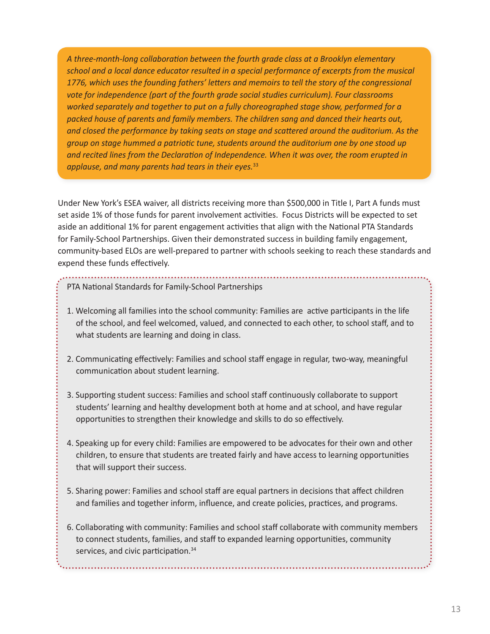*A three-month-long collaboration between the fourth grade class at a Brooklyn elementary school and a local dance educator resulted in a special performance of excerpts from the musical 1776, which uses the founding fathers' letters and memoirs to tell the story of the congressional vote for independence (part of the fourth grade social studies curriculum). Four classrooms worked separately and together to put on a fully choreographed stage show, performed for a packed house of parents and family members. The children sang and danced their hearts out, and closed the performance by taking seats on stage and scattered around the auditorium. As the group on stage hummed a patriotic tune, students around the auditorium one by one stood up and recited lines from the Declaration of Independence. When it was over, the room erupted in applause, and many parents had tears in their eyes.*<sup>33</sup>

Under New York's ESEA waiver, all districts receiving more than \$500,000 in Title I, Part A funds must set aside 1% of those funds for parent involvement activities. Focus Districts will be expected to set aside an additional 1% for parent engagement activities that align with the National PTA Standards for Family-School Partnerships. Given their demonstrated success in building family engagement, community-based ELOs are well-prepared to partner with schools seeking to reach these standards and expend these funds effectively.

## PTA National Standards for Family-School Partnerships

- 1. Welcoming all families into the school community: Families are active participants in the life of the school, and feel welcomed, valued, and connected to each other, to school staff, and to what students are learning and doing in class.
- 2. Communicating effectively: Families and school staff engage in regular, two-way, meaningful communication about student learning.
- 3. Supporting student success: Families and school staff continuously collaborate to support students' learning and healthy development both at home and at school, and have regular opportunities to strengthen their knowledge and skills to do so effectively.
- 4. Speaking up for every child: Families are empowered to be advocates for their own and other children, to ensure that students are treated fairly and have access to learning opportunities that will support their success.
- 5. Sharing power: Families and school staff are equal partners in decisions that affect children and families and together inform, influence, and create policies, practices, and programs.
- 6. Collaborating with community: Families and school staff collaborate with community members to connect students, families, and staff to expanded learning opportunities, community services, and civic participation.<sup>34</sup>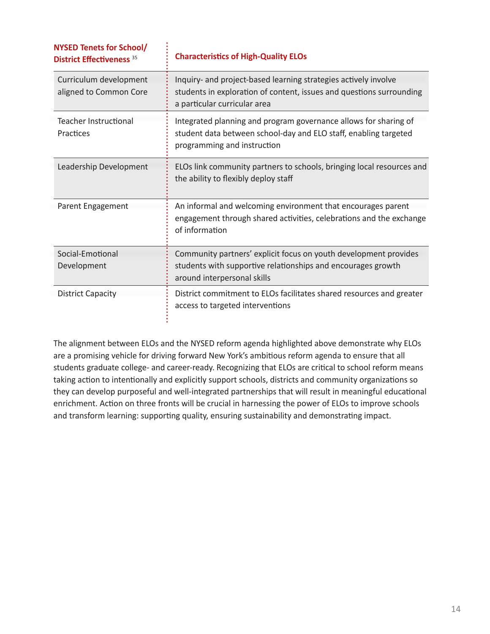| <b>NYSED Tenets for School/</b><br><b>District Effectiveness 35</b> | <b>Characteristics of High-Quality ELOs</b>                                                                                                                             |
|---------------------------------------------------------------------|-------------------------------------------------------------------------------------------------------------------------------------------------------------------------|
| Curriculum development<br>aligned to Common Core                    | Inquiry- and project-based learning strategies actively involve<br>students in exploration of content, issues and questions surrounding<br>a particular curricular area |
| <b>Teacher Instructional</b><br>Practices                           | Integrated planning and program governance allows for sharing of<br>student data between school-day and ELO staff, enabling targeted<br>programming and instruction     |
| Leadership Development                                              | ELOs link community partners to schools, bringing local resources and<br>the ability to flexibly deploy staff                                                           |
| Parent Engagement                                                   | An informal and welcoming environment that encourages parent<br>engagement through shared activities, celebrations and the exchange<br>of information                   |
| Social-Emotional<br>Development                                     | Community partners' explicit focus on youth development provides<br>students with supportive relationships and encourages growth<br>around interpersonal skills         |
| <b>District Capacity</b>                                            | District commitment to ELOs facilitates shared resources and greater<br>access to targeted interventions                                                                |

The alignment between ELOs and the NYSED reform agenda highlighted above demonstrate why ELOs are a promising vehicle for driving forward New York's ambitious reform agenda to ensure that all students graduate college- and career-ready. Recognizing that ELOs are critical to school reform means taking action to intentionally and explicitly support schools, districts and community organizations so they can develop purposeful and well-integrated partnerships that will result in meaningful educational enrichment. Action on three fronts will be crucial in harnessing the power of ELOs to improve schools and transform learning: supporting quality, ensuring sustainability and demonstrating impact.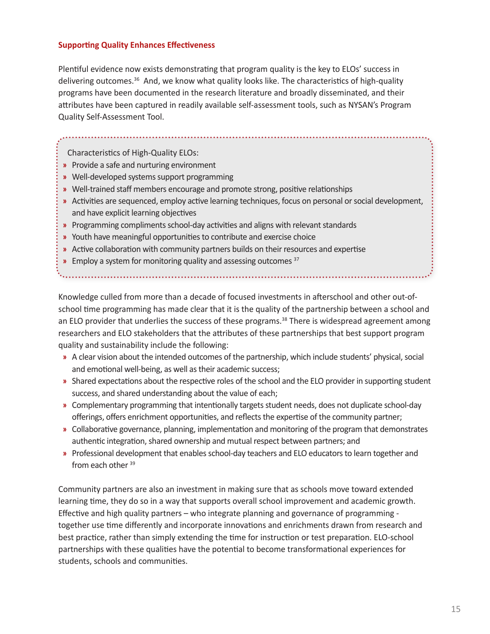## **Supporting Quality Enhances Effectiveness**

Plentiful evidence now exists demonstrating that program quality is the key to ELOs' success in delivering outcomes.<sup>36</sup> And, we know what quality looks like. The characteristics of high-quality programs have been documented in the research literature and broadly disseminated, and their attributes have been captured in readily available self-assessment tools, such as NYSAN's Program Quality Self-Assessment Tool.

Characteristics of High-Quality ELOs:

- **»** Provide a safe and nurturing environment
- **»** Well-developed systems support programming
- **»** Well-trained staff members encourage and promote strong, positive relationships
- **»** Activities are sequenced, employ active learning techniques, focus on personal or social development, and have explicit learning objectives
- **»** Programming compliments school-day activities and aligns with relevant standards
- **»** Youth have meaningful opportunities to contribute and exercise choice
- **»** Active collaboration with community partners builds on their resources and expertise
- **»** Employ a system for monitoring quality and assessing outcomes 37

Knowledge culled from more than a decade of focused investments in afterschool and other out-ofschool time programming has made clear that it is the quality of the partnership between a school and an ELO provider that underlies the success of these programs.<sup>38</sup> There is widespread agreement among researchers and ELO stakeholders that the attributes of these partnerships that best support program quality and sustainability include the following:

- **»** A clear vision about the intended outcomes of the partnership, which include students' physical, social and emotional well-being, as well as their academic success;
- **»** Shared expectations about the respective roles of the school and the ELO provider in supporting student success, and shared understanding about the value of each;
- **»** Complementary programming that intentionally targets student needs, does not duplicate school-day offerings, offers enrichment opportunities, and reflects the expertise of the community partner;
- **»** Collaborative governance, planning, implementation and monitoring of the program that demonstrates authentic integration, shared ownership and mutual respect between partners; and
- **»** Professional development that enables school-day teachers and ELO educators to learn together and from each other 39

Community partners are also an investment in making sure that as schools move toward extended learning time, they do so in a way that supports overall school improvement and academic growth. Effective and high quality partners – who integrate planning and governance of programming together use time differently and incorporate innovations and enrichments drawn from research and best practice, rather than simply extending the time for instruction or test preparation. ELO-school partnerships with these qualities have the potential to become transformational experiences for students, schools and communities.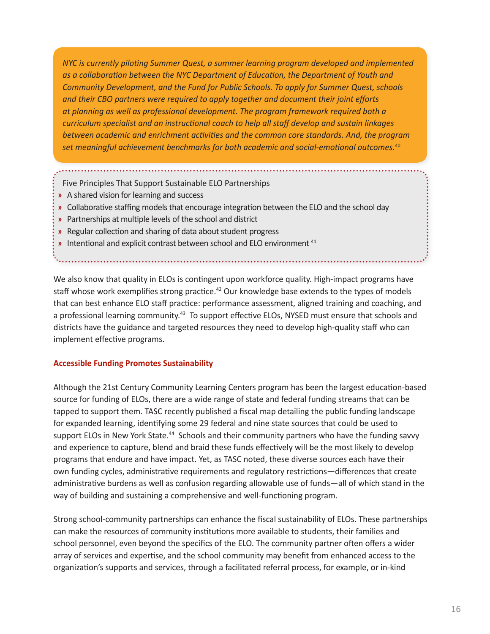*NYC is currently piloting Summer Quest, a summer learning program developed and implemented as a collaboration between the NYC Department of Education, the Department of Youth and Community Development, and the Fund for Public Schools. To apply for Summer Quest, schools and their CBO partners were required to apply together and document their joint efforts at planning as well as professional development. The program framework required both a curriculum specialist and an instructional coach to help all staff develop and sustain linkages between academic and enrichment activities and the common core standards. And, the program set meaningful achievement benchmarks for both academic and social-emotional outcomes.*<sup>40</sup>

Five Principles That Support Sustainable ELO Partnerships

- **»** A shared vision for learning and success
- **»** Collaborative staffing models that encourage integration between the ELO and the school day
- **»** Partnerships at multiple levels of the school and district
- **»** Regular collection and sharing of data about student progress
- **»** Intentional and explicit contrast between school and ELO environment 41

We also know that quality in ELOs is contingent upon workforce quality. High-impact programs have staff whose work exemplifies strong practice.<sup>42</sup> Our knowledge base extends to the types of models that can best enhance ELO staff practice: performance assessment, aligned training and coaching, and a professional learning community.<sup>43</sup> To support effective ELOs, NYSED must ensure that schools and districts have the guidance and targeted resources they need to develop high-quality staff who can implement effective programs.

## **Accessible Funding Promotes Sustainability**

Although the 21st Century Community Learning Centers program has been the largest education-based source for funding of ELOs, there are a wide range of state and federal funding streams that can be tapped to support them. TASC recently published a fiscal map detailing the public funding landscape for expanded learning, identifying some 29 federal and nine state sources that could be used to support ELOs in New York State.<sup>44</sup> Schools and their community partners who have the funding savvy and experience to capture, blend and braid these funds effectively will be the most likely to develop programs that endure and have impact. Yet, as TASC noted, these diverse sources each have their own funding cycles, administrative requirements and regulatory restrictions—differences that create administrative burdens as well as confusion regarding allowable use of funds—all of which stand in the way of building and sustaining a comprehensive and well-functioning program.

Strong school-community partnerships can enhance the fiscal sustainability of ELOs. These partnerships can make the resources of community institutions more available to students, their families and school personnel, even beyond the specifics of the ELO. The community partner often offers a wider array of services and expertise, and the school community may benefit from enhanced access to the organization's supports and services, through a facilitated referral process, for example, or in-kind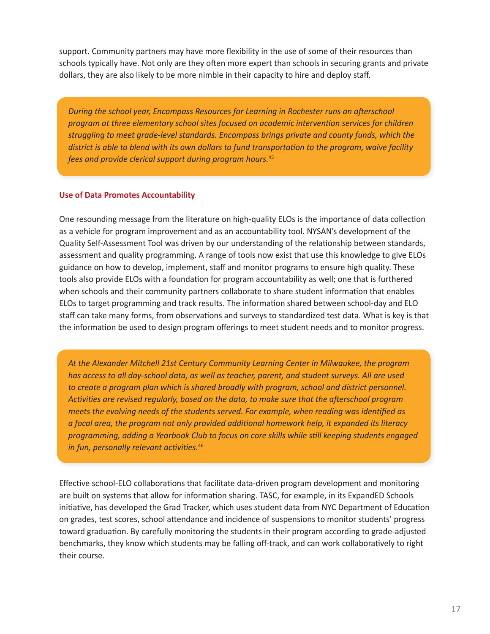support. Community partners may have more flexibility in the use of some of their resources than schools typically have. Not only are they often more expert than schools in securing grants and private dollars, they are also likely to be more nimble in their capacity to hire and deploy staff.

*During the school year, Encompass Resources for Learning in Rochester runs an afterschool program at three elementary school sites focused on academic intervention services for children struggling to meet grade-level standards. Encompass brings private and county funds, which the district is able to blend with its own dollars to fund transportation to the program, waive facility fees and provide clerical support during program hours.*<sup>45</sup>

## **Use of Data Promotes Accountability**

One resounding message from the literature on high-quality ELOs is the importance of data collection as a vehicle for program improvement and as an accountability tool. NYSAN's development of the Quality Self-Assessment Tool was driven by our understanding of the relationship between standards, assessment and quality programming. A range of tools now exist that use this knowledge to give ELOs guidance on how to develop, implement, staff and monitor programs to ensure high quality. These tools also provide ELOs with a foundation for program accountability as well; one that is furthered when schools and their community partners collaborate to share student information that enables ELOs to target programming and track results. The information shared between school-day and ELO staff can take many forms, from observations and surveys to standardized test data. What is key is that the information be used to design program offerings to meet student needs and to monitor progress.

*At the Alexander Mitchell 21st Century Community Learning Center in Milwaukee, the program has access to all day-school data, as well as teacher, parent, and student surveys. All are used to create a program plan which is shared broadly with program, school and district personnel. Activities are revised regularly, based on the data, to make sure that the afterschool program meets the evolving needs of the students served. For example, when reading was identified as a focal area, the program not only provided additional homework help, it expanded its literacy programming, adding a Yearbook Club to focus on core skills while still keeping students engaged in fun, personally relevant activities.*<sup>46</sup>

Effective school-ELO collaborations that facilitate data-driven program development and monitoring are built on systems that allow for information sharing. TASC, for example, in its ExpandED Schools initiative, has developed the Grad Tracker, which uses student data from NYC Department of Education on grades, test scores, school attendance and incidence of suspensions to monitor students' progress toward graduation. By carefully monitoring the students in their program according to grade-adjusted benchmarks, they know which students may be falling off-track, and can work collaboratively to right their course.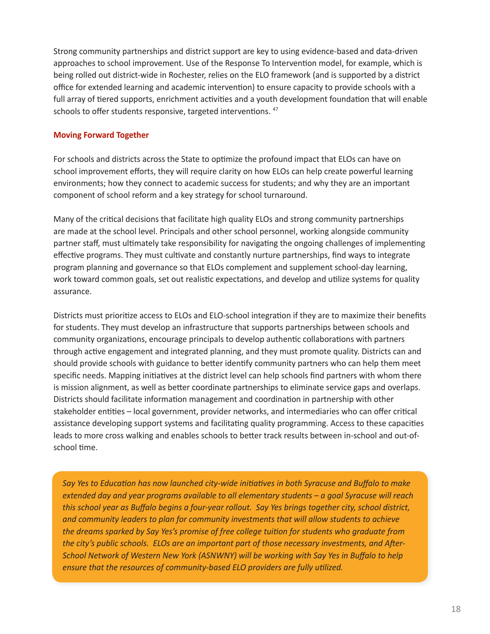Strong community partnerships and district support are key to using evidence-based and data-driven approaches to school improvement. Use of the Response To Intervention model, for example, which is being rolled out district-wide in Rochester, relies on the ELO framework (and is supported by a district office for extended learning and academic intervention) to ensure capacity to provide schools with a full array of tiered supports, enrichment activities and a youth development foundation that will enable schools to offer students responsive, targeted interventions. 47

## **Moving Forward Together**

For schools and districts across the State to optimize the profound impact that ELOs can have on school improvement efforts, they will require clarity on how ELOs can help create powerful learning environments; how they connect to academic success for students; and why they are an important component of school reform and a key strategy for school turnaround.

Many of the critical decisions that facilitate high quality ELOs and strong community partnerships are made at the school level. Principals and other school personnel, working alongside community partner staff, must ultimately take responsibility for navigating the ongoing challenges of implementing effective programs. They must cultivate and constantly nurture partnerships, find ways to integrate program planning and governance so that ELOs complement and supplement school-day learning, work toward common goals, set out realistic expectations, and develop and utilize systems for quality assurance.

Districts must prioritize access to ELOs and ELO-school integration if they are to maximize their benefits for students. They must develop an infrastructure that supports partnerships between schools and community organizations, encourage principals to develop authentic collaborations with partners through active engagement and integrated planning, and they must promote quality. Districts can and should provide schools with guidance to better identify community partners who can help them meet specific needs. Mapping initiatives at the district level can help schools find partners with whom there is mission alignment, as well as better coordinate partnerships to eliminate service gaps and overlaps. Districts should facilitate information management and coordination in partnership with other stakeholder entities – local government, provider networks, and intermediaries who can offer critical assistance developing support systems and facilitating quality programming. Access to these capacities leads to more cross walking and enables schools to better track results between in-school and out-ofschool time.

*Say Yes to Education has now launched city-wide initiatives in both Syracuse and Buffalo to make extended day and year programs available to all elementary students – a goal Syracuse will reach this school year as Buffalo begins a four-year rollout. Say Yes brings together city, school district, and community leaders to plan for community investments that will allow students to achieve the dreams sparked by Say Yes's promise of free college tuition for students who graduate from the city's public schools. ELOs are an important part of those necessary investments, and After-School Network of Western New York (ASNWNY) will be working with Say Yes in Buffalo to help ensure that the resources of community-based ELO providers are fully utilized.*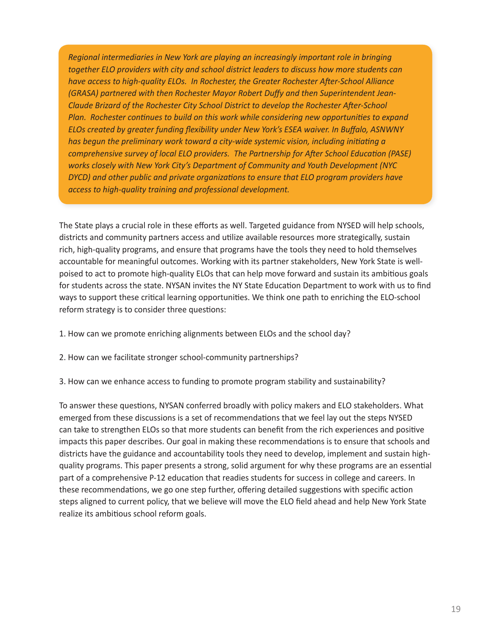*Regional intermediaries in New York are playing an increasingly important role in bringing together ELO providers with city and school district leaders to discuss how more students can have access to high-quality ELOs. In Rochester, the Greater Rochester After-School Alliance (GRASA) partnered with then Rochester Mayor Robert Duffy and then Superintendent Jean-Claude Brizard of the Rochester City School District to develop the Rochester After-School Plan. Rochester continues to build on this work while considering new opportunities to expand ELOs created by greater funding flexibility under New York's ESEA waiver. In Buffalo, ASNWNY has begun the preliminary work toward a city-wide systemic vision, including initiating a comprehensive survey of local ELO providers. The Partnership for After School Education (PASE) works closely with New York City's Department of Community and Youth Development (NYC DYCD) and other public and private organizations to ensure that ELO program providers have access to high-quality training and professional development.*

The State plays a crucial role in these efforts as well. Targeted guidance from NYSED will help schools, districts and community partners access and utilize available resources more strategically, sustain rich, high-quality programs, and ensure that programs have the tools they need to hold themselves accountable for meaningful outcomes. Working with its partner stakeholders, New York State is wellpoised to act to promote high-quality ELOs that can help move forward and sustain its ambitious goals for students across the state. NYSAN invites the NY State Education Department to work with us to find ways to support these critical learning opportunities. We think one path to enriching the ELO-school reform strategy is to consider three questions:

- 1. How can we promote enriching alignments between ELOs and the school day?
- 2. How can we facilitate stronger school-community partnerships?
- 3. How can we enhance access to funding to promote program stability and sustainability?

To answer these questions, NYSAN conferred broadly with policy makers and ELO stakeholders. What emerged from these discussions is a set of recommendations that we feel lay out the steps NYSED can take to strengthen ELOs so that more students can benefit from the rich experiences and positive impacts this paper describes. Our goal in making these recommendations is to ensure that schools and districts have the guidance and accountability tools they need to develop, implement and sustain highquality programs. This paper presents a strong, solid argument for why these programs are an essential part of a comprehensive P-12 education that readies students for success in college and careers. In these recommendations, we go one step further, offering detailed suggestions with specific action steps aligned to current policy, that we believe will move the ELO field ahead and help New York State realize its ambitious school reform goals.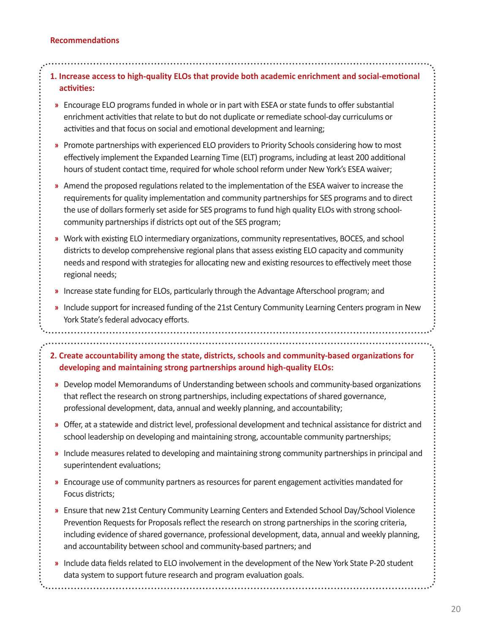## **Recommendations**

| 1. Increase access to high-quality ELOs that provide both academic enrichment and social-emotional<br>activities:                                                                                                                                                                                                                                                                             |
|-----------------------------------------------------------------------------------------------------------------------------------------------------------------------------------------------------------------------------------------------------------------------------------------------------------------------------------------------------------------------------------------------|
| Encourage ELO programs funded in whole or in part with ESEA or state funds to offer substantial<br>»<br>enrichment activities that relate to but do not duplicate or remediate school-day curriculums or<br>activities and that focus on social and emotional development and learning;                                                                                                       |
| Promote partnerships with experienced ELO providers to Priority Schools considering how to most<br>»<br>effectively implement the Expanded Learning Time (ELT) programs, including at least 200 additional<br>hours of student contact time, required for whole school reform under New York's ESEA waiver;                                                                                   |
| Amend the proposed regulations related to the implementation of the ESEA waiver to increase the<br>»<br>requirements for quality implementation and community partnerships for SES programs and to direct<br>the use of dollars formerly set aside for SES programs to fund high quality ELOs with strong school-<br>community partnerships if districts opt out of the SES program;          |
| Work with existing ELO intermediary organizations, community representatives, BOCES, and school<br>»<br>districts to develop comprehensive regional plans that assess existing ELO capacity and community<br>needs and respond with strategies for allocating new and existing resources to effectively meet those<br>regional needs;                                                         |
| Increase state funding for ELOs, particularly through the Advantage Afterschool program; and<br>»                                                                                                                                                                                                                                                                                             |
| Include support for increased funding of the 21st Century Community Learning Centers program in New<br>»<br>York State's federal advocacy efforts.                                                                                                                                                                                                                                            |
|                                                                                                                                                                                                                                                                                                                                                                                               |
| 2. Create accountability among the state, districts, schools and community-based organizations for<br>developing and maintaining strong partnerships around high-quality ELOs:                                                                                                                                                                                                                |
| Develop model Memorandums of Understanding between schools and community-based organizations<br>»<br>that reflect the research on strong partnerships, including expectations of shared governance,<br>professional development, data, annual and weekly planning, and accountability;                                                                                                        |
| » Offer, at a statewide and district level, professional development and technical assistance for district and<br>school leadership on developing and maintaining strong, accountable community partnerships;                                                                                                                                                                                 |
| Include measures related to developing and maintaining strong community partnerships in principal and<br>»<br>superintendent evaluations;                                                                                                                                                                                                                                                     |
| Encourage use of community partners as resources for parent engagement activities mandated for<br>»<br>Focus districts;                                                                                                                                                                                                                                                                       |
| Ensure that new 21st Century Community Learning Centers and Extended School Day/School Violence<br>»<br>Prevention Requests for Proposals reflect the research on strong partnerships in the scoring criteria,<br>including evidence of shared governance, professional development, data, annual and weekly planning,<br>and accountability between school and community-based partners; and |
| Include data fields related to ELO involvement in the development of the New York State P-20 student<br>data system to support future research and program evaluation goals.                                                                                                                                                                                                                  |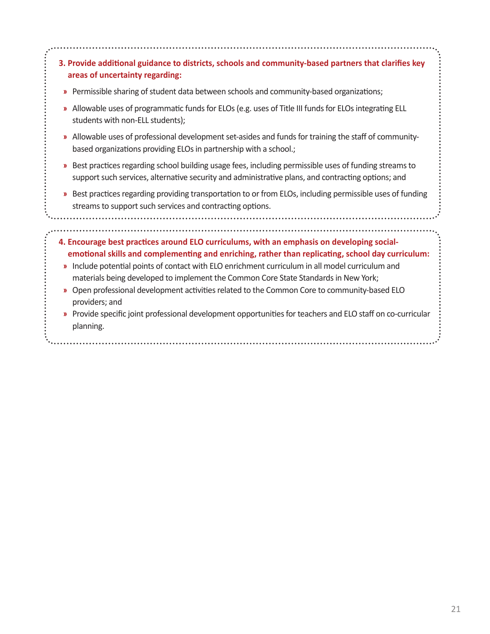|    | 3. Provide additional guidance to districts, schools and community-based partners that clarifies key<br>areas of uncertainty regarding:                                                                                                                                                                                                                                                                                                                                                                  |  |
|----|----------------------------------------------------------------------------------------------------------------------------------------------------------------------------------------------------------------------------------------------------------------------------------------------------------------------------------------------------------------------------------------------------------------------------------------------------------------------------------------------------------|--|
| »  | Permissible sharing of student data between schools and community-based organizations;                                                                                                                                                                                                                                                                                                                                                                                                                   |  |
| y, | Allowable uses of programmatic funds for ELOs (e.g. uses of Title III funds for ELOs integrating ELL<br>students with non-ELL students);                                                                                                                                                                                                                                                                                                                                                                 |  |
| y, | Allowable uses of professional development set-asides and funds for training the staff of community-<br>based organizations providing ELOs in partnership with a school.;                                                                                                                                                                                                                                                                                                                                |  |
|    | » Best practices regarding school building usage fees, including permissible uses of funding streams to<br>support such services, alternative security and administrative plans, and contracting options; and                                                                                                                                                                                                                                                                                            |  |
| y) | Best practices regarding providing transportation to or from ELOs, including permissible uses of funding<br>streams to support such services and contracting options.                                                                                                                                                                                                                                                                                                                                    |  |
| y, | 4. Encourage best practices around ELO curriculums, with an emphasis on developing social-<br>emotional skills and complementing and enriching, rather than replicating, school day curriculum:<br>Include potential points of contact with ELO enrichment curriculum in all model curriculum and<br>materials being developed to implement the Common Core State Standards in New York;<br>Open professional development activities related to the Common Core to community-based ELO<br>providers; and |  |
|    | Provide specific joint professional development opportunities for teachers and ELO staff on co-curricular<br>planning.                                                                                                                                                                                                                                                                                                                                                                                   |  |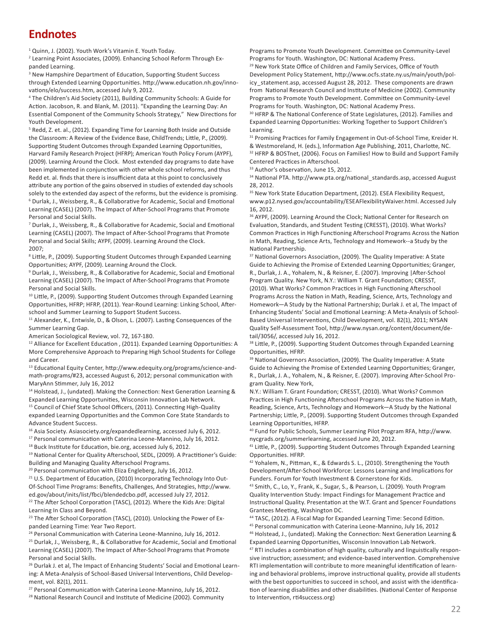## **Endnotes**

<sup>1</sup> Quinn, J. (2002). Youth Work's Vitamin E. Youth Today.

<sup>2</sup> Learning Point Associates, (2009). Enhancing School Reform Through Expanded Learning.

<sup>3</sup> New Hampshire Department of Education, Supporting Student Success through Extended Learning Opportunities. http://www.education.nh.gov/innovations/elo/success.htm, accessed July 9, 2012.

4 The Children's Aid Society (2011), Building Community Schools: A Guide for Action. Jacobson, R. and Blank, M. (2011). "Expanding the Learning Day: An Essential Component of the Community Schools Strategy," New Directions for Youth Development.

<sup>5</sup> Redd, Z. et. al., (2012). Expanding Time for Learning Both Inside and Outside the Classroom: A Review of the Evidence Base, ChildTrends; Little, P., (2009). Supporting Student Outcomes through Expanded Learning Opportunities, Harvard Family Research Project (HFRP); American Youth Policy Forum (AYPF), (2009). Learning Around the Clock. Most extended day programs to date have been implemented in conjunction with other whole school reforms, and thus Redd et. al. finds that there is insufficient data at this point to conclusively attribute any portion of the gains observed in studies of extended day schools solely to the extended day aspect of the reforms, but the evidence is promising. 6 Durlak, J., Weissberg, R., & Collaborative for Academic, Social and Emotional Learning (CASEL) (2007). The Impact of After-School Programs that Promote Personal and Social Skills.

<sup>7</sup> Durlak, J., Weissberg, R., & Collaborative for Academic, Social and Emotional Learning (CASEL) (2007). The Impact of After-School Programs that Promote Personal and Social Skills; AYPF, (2009). Learning Around the Clock. 2007;

<sup>8</sup> Little, P., (2009). Supporting Student Outcomes through Expanded Learning Opportunities; AYPF, (2009). Learning Around the Clock.

9 Durlak, J., Weissberg, R., & Collaborative for Academic, Social and Emotional Learning (CASEL) (2007). The Impact of After-School Programs that Promote Personal and Social Skills.

<sup>10</sup> Little, P., (2009). Supporting Student Outcomes through Expanded Learning Opportunities, HFRP; HFRP, (2011). Year-Round Learning: Linking School, Afterschool and Summer Learning to Support Student Success.

<sup>11</sup> Alexander, K., Entwisle, D., & Olson, L. (2007). Lasting Consequences of the Summer Learning Gap.

American Sociological Review, vol. 72, 167-180.

<sup>12</sup> Alliance for Excellent Education, (2011). Expanded Learning Opportunities: A More Comprehensive Approach to Preparing High School Students for College and Career.

13 Educational Equity Center, http://www.edequity.org/programs/science-andmath-programs/#23, accessed August 6, 2012; personal communication with MaryAnn Stimmer, July 16, 2012

<sup>14</sup> Holstead, J., (undated). Making the Connection: Next Generation Learning & Expanded Learning Opportunities, Wisconsin Innovation Lab Network. <sup>15</sup> Council of Chief State School Officers, (2011). Connecting High-Quality expanded Learning Opportunities and the Common Core State Standards to Advance Student Success.

<sup>16</sup> Asia Society. Asiasociety.org/expandedlearning, accessed July 6, 2012.

<sup>17</sup> Personal communication with Caterina Leone-Mannino, July 16, 2012.

<sup>18</sup> Buck Institute for Education, bie.org, accessed July 6, 2012.

<sup>19</sup> National Center for Quality Afterschool, SEDL, (2009). A Practitioner's Guide: Building and Managing Quality Afterschool Programs.

<sup>20</sup> Personal communication with Eliza Engleberg, July 16, 2012.

<sup>21</sup> U.S. Department of Education, (2010) Incorporating Technology Into Out-Of-School Time Programs: Benefits, Challenges, And Strategies, http://www. ed.gov/about/inits/list/fbci/blendedcbo.pdf, accessed July 27, 2012.

<sup>22</sup> The After School Corporation (TASC), (2012). Where the Kids Are: Digital Learning In Class and Beyond.

<sup>23</sup> The After School Corporation (TASC), (2010). Unlocking the Power of Expanded Learning Time: Year Two Report.

<sup>24</sup> Personal Communication with Caterina Leone-Mannino, July 16, 2012.

25 Durlak, J., Weissberg, R., & Collaborative for Academic, Social and Emotional Learning (CASEL) (2007). The Impact of After-School Programs that Promote Personal and Social Skills.

<sup>26</sup> Durlak J. et al, The Impact of Enhancing Students' Social and Emotional Learning: A Meta-Analysis of School-Based Universal Interventions, Child Development, vol. 82(1), 2011.

<sup>27</sup> Personal Communication with Caterina Leone-Mannino, July 16, 2012.

<sup>28</sup> National Research Council and Institute of Medicine (2002). Community

Programs to Promote Youth Development. Committee on Community-Level Programs for Youth. Washington, DC: National Academy Press.

<sup>29</sup> New York State Office of Children and Family Services, Office of Youth Development Policy Statement, http://www.ocfs.state.ny.us/main/youth/policy statement.asp, accessed August 28, 2012. These components are drawn from National Research Council and Institute of Medicine (2002). Community Programs to Promote Youth Development. Committee on Community-Level Programs for Youth. Washington, DC: National Academy Press.

<sup>30</sup> HFRP & The National Conference of State Legislatures, (2012). Families and Expanded Learning Opportunities: Working Together to Support Children's Learning.

<sup>31</sup> Promising Practices for Family Engagement in Out-of-School Time, Kreider H. & Westmoreland, H. (eds.), Information Age Publishing, 2011, Charlotte, NC. 32 HFRP & BOSTnet, (2006). Focus on Families! How to Build and Support Family

Centered Practices in Afterschool. 33 Author's observation, June 15, 2012.

<sup>34</sup> National PTA. http://www.pta.org/national\_standards.asp, accessed August

28, 2012. <sup>35</sup> New York State Education Department, (2012). ESEA Flexibility Request, www.p12.nysed.gov/accountability/ESEAFlexibilityWaiver.html. Accessed July 16, 2012.

36 AYPF, (2009). Learning Around the Clock; National Center for Research on Evaluation, Standards, and Student Testing (CRESST), (2010). What Works? Common Practices in High Functioning Afterschool Programs Across the Nation in Math, Reading, Science Arts, Technology and Homework--a Study by the National Partnership.

<sup>37</sup> National Governors Association, (2009). The Quality Imperative: A State Guide to Achieving the Promise of Extended Learning Opportunities; Granger, R., Durlak, J. A., Yohalem, N., & Reisner, E. (2007). Improving |After-School Program Quality. New York, N.Y.: William T. Grant Foundation; CRESST, (2010). What Works? Common Practices in High Functioning Afterschool Programs Across the Nation in Math, Reading, Science, Arts, Technology and Homework—A Study by the National Partnership; Durlak J. et al, The Impact of Enhancing Students' Social and Emotional Learning: A Meta-Analysis of School-Based Universal Interventions, Child Development, vol. 82(1), 2011; NYSAN Quality Self-Assessment Tool, http://www.nysan.org/content/document/detail/3056/, accessed July 16, 2012.

38 Little, P., (2009). Supporting Student Outcomes through Expanded Learning Opportunities, HFRP.

<sup>39</sup> National Governors Association, (2009). The Quality Imperative: A State Guide to Achieving the Promise of Extended Learning Opportunities; Granger, R., Durlak, J. A., Yohalem, N., & Reisner, E. (2007). Improving After-School Program Quality. New York,

N.Y.: William T. Grant Foundation; CRESST, (2010). What Works? Common Practices in High Functioning Afterschool Programs Across the Nation in Math, Reading, Science, Arts, Technology and Homework—A Study by the National Partnership; Little, P., (2009). Supporting Student Outcomes through Expanded Learning Opportunities, HFRP.

40 Fund for Public Schools, Summer Learning Pilot Program RFA, http://www. nycgrads.org/summerlearning, accessed June 20, 2012.

<sup>41</sup> Little, P., (2009). Supporting Student Outcomes Through Expanded Learning Opportunities. HFRP.

42 Yohalem, N., Pittman, K., & Edwards S. L., (2010). Strengthening the Youth Development/After-School Workforce: Lessons Learning and Implications for Funders. Forum for Youth Investment & Cornerstone for Kids.

43 Smith, C., Lo, Y., Frank, K., Sugar, S., & Pearson, L. (2009). Youth Program Quality Intervention Study: Impact Findings for Management Practice and Instructional Quality. Presentation at the W.T. Grant and Spencer Foundations Grantees Meeting, Washington DC.

44 TASC, (2012). A Fiscal Map for Expanded Learning Time: Second Edition. 45 Personal communication with Caterina Leone-Mannino, July 16, 2012

46 Holstead, J., (undated). Making the Connection: Next Generation Learning & Expanded Learning Opportunities, Wisconsin Innovation Lab Network.

<sup>47</sup> RTI includes a combination of high quality, culturally and linguistically responsive instruction; assessment; and evidence-based intervention. Comprehensive RTI implementation will contribute to more meaningful identification of learning and behavioral problems, improve instructional quality, provide all students with the best opportunities to succeed in school, and assist with the identification of learning disabilities and other disabilities. (National Center of Response to Intervention, rti4success.org)